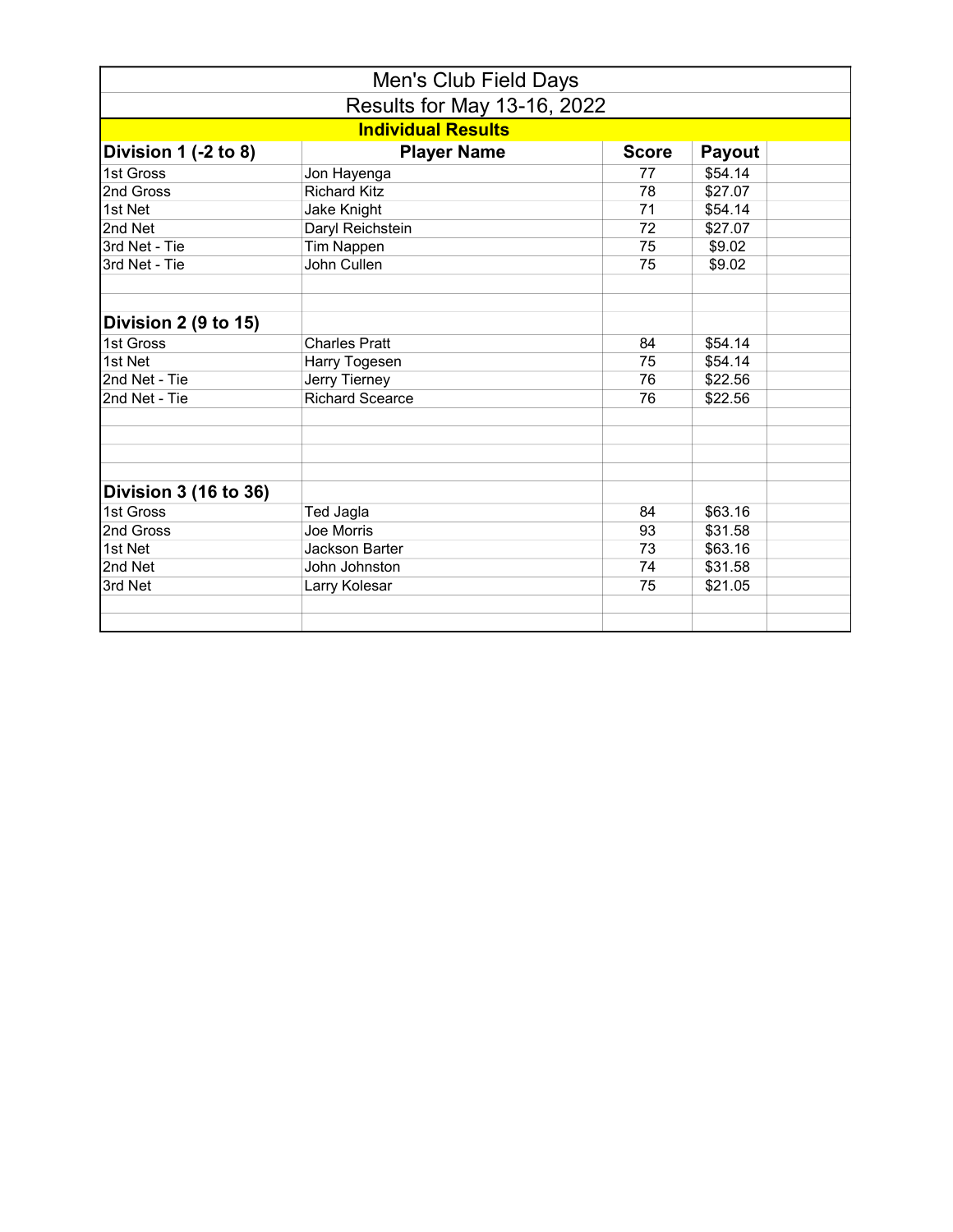|                              | Men's Club Field Days     |              |         |  |
|------------------------------|---------------------------|--------------|---------|--|
| Results for May 13-16, 2022  |                           |              |         |  |
|                              | <b>Individual Results</b> |              |         |  |
| Division $1$ (-2 to 8)       | <b>Player Name</b>        | <b>Score</b> | Payout  |  |
| 1st Gross                    | Jon Hayenga               | 77           | \$54.14 |  |
| 2nd Gross                    | <b>Richard Kitz</b>       | 78           | \$27.07 |  |
| 1st Net                      | Jake Knight               | 71           | \$54.14 |  |
| 2nd Net                      | Daryl Reichstein          | 72           | \$27.07 |  |
| 3rd Net - Tie                | <b>Tim Nappen</b>         | 75           | \$9.02  |  |
| 3rd Net - Tie                | John Cullen               | 75           | \$9.02  |  |
| Division 2 (9 to 15)         |                           |              |         |  |
| 1st Gross                    | <b>Charles Pratt</b>      | 84           | \$54.14 |  |
| 1st Net                      | Harry Togesen             | 75           | \$54.14 |  |
| 2nd Net - Tie                | Jerry Tierney             | 76           | \$22.56 |  |
| 2nd Net - Tie                | <b>Richard Scearce</b>    | 76           | \$22.56 |  |
|                              |                           |              |         |  |
| <b>Division 3 (16 to 36)</b> |                           |              |         |  |
| 1st Gross                    | <b>Ted Jagla</b>          | 84           | \$63.16 |  |
| 2nd Gross                    | Joe Morris                | 93           | \$31.58 |  |
| 1st Net                      | <b>Jackson Barter</b>     | 73           | \$63.16 |  |
| 2nd Net                      | John Johnston             | 74           | \$31.58 |  |
| 3rd Net                      | Larry Kolesar             | 75           | \$21.05 |  |
|                              |                           |              |         |  |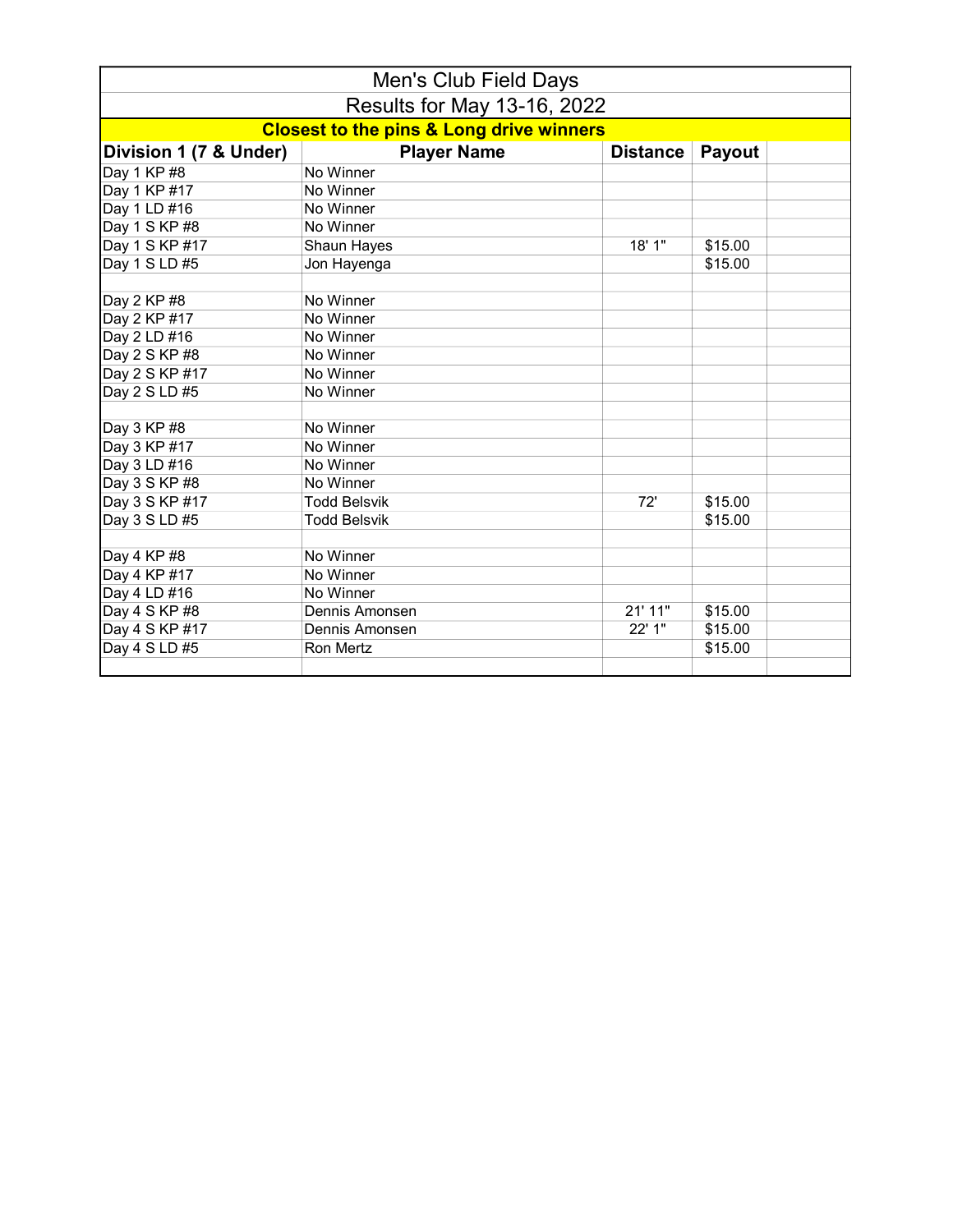| Men's Club Field Days       |                                                     |                 |         |  |
|-----------------------------|-----------------------------------------------------|-----------------|---------|--|
| Results for May 13-16, 2022 |                                                     |                 |         |  |
|                             | <b>Closest to the pins &amp; Long drive winners</b> |                 |         |  |
| Division 1 (7 & Under)      | <b>Player Name</b>                                  | <b>Distance</b> | Payout  |  |
| Day 1 KP #8                 | No Winner                                           |                 |         |  |
| Day 1 KP #17                | No Winner                                           |                 |         |  |
| Day 1 LD #16                | No Winner                                           |                 |         |  |
| Day 1 S KP #8               | No Winner                                           |                 |         |  |
| Day 1 S KP #17              | Shaun Hayes                                         | 18' 1"          | \$15.00 |  |
| Day 1 S LD #5               | Jon Hayenga                                         |                 | \$15.00 |  |
|                             |                                                     |                 |         |  |
| Day 2 KP #8                 | No Winner                                           |                 |         |  |
| Day 2 KP #17                | No Winner                                           |                 |         |  |
| Day 2 LD #16                | No Winner                                           |                 |         |  |
| Day 2 S KP #8               | No Winner                                           |                 |         |  |
| Day 2 S KP #17              | No Winner                                           |                 |         |  |
| Day 2 S LD #5               | No Winner                                           |                 |         |  |
|                             |                                                     |                 |         |  |
| Day 3 KP #8                 | No Winner                                           |                 |         |  |
| Day 3 KP #17                | No Winner                                           |                 |         |  |
| Day 3 LD #16                | No Winner                                           |                 |         |  |
| Day 3 S KP #8               | No Winner                                           |                 |         |  |
| Day 3 S KP #17              | <b>Todd Belsvik</b>                                 | 72'             | \$15.00 |  |
| Day 3 S LD #5               | <b>Todd Belsvik</b>                                 |                 | \$15.00 |  |
|                             |                                                     |                 |         |  |
| Day 4 KP #8                 | No Winner                                           |                 |         |  |
| Day 4 KP #17                | No Winner                                           |                 |         |  |
| Day 4 LD #16                | No Winner                                           |                 |         |  |
| Day 4 S KP #8               | Dennis Amonsen                                      | 21' 11"         | \$15.00 |  |
| Day 4 S KP #17              | Dennis Amonsen                                      | 22' 1"          | \$15.00 |  |
| Day 4 S LD #5               | Ron Mertz                                           |                 | \$15.00 |  |
|                             |                                                     |                 |         |  |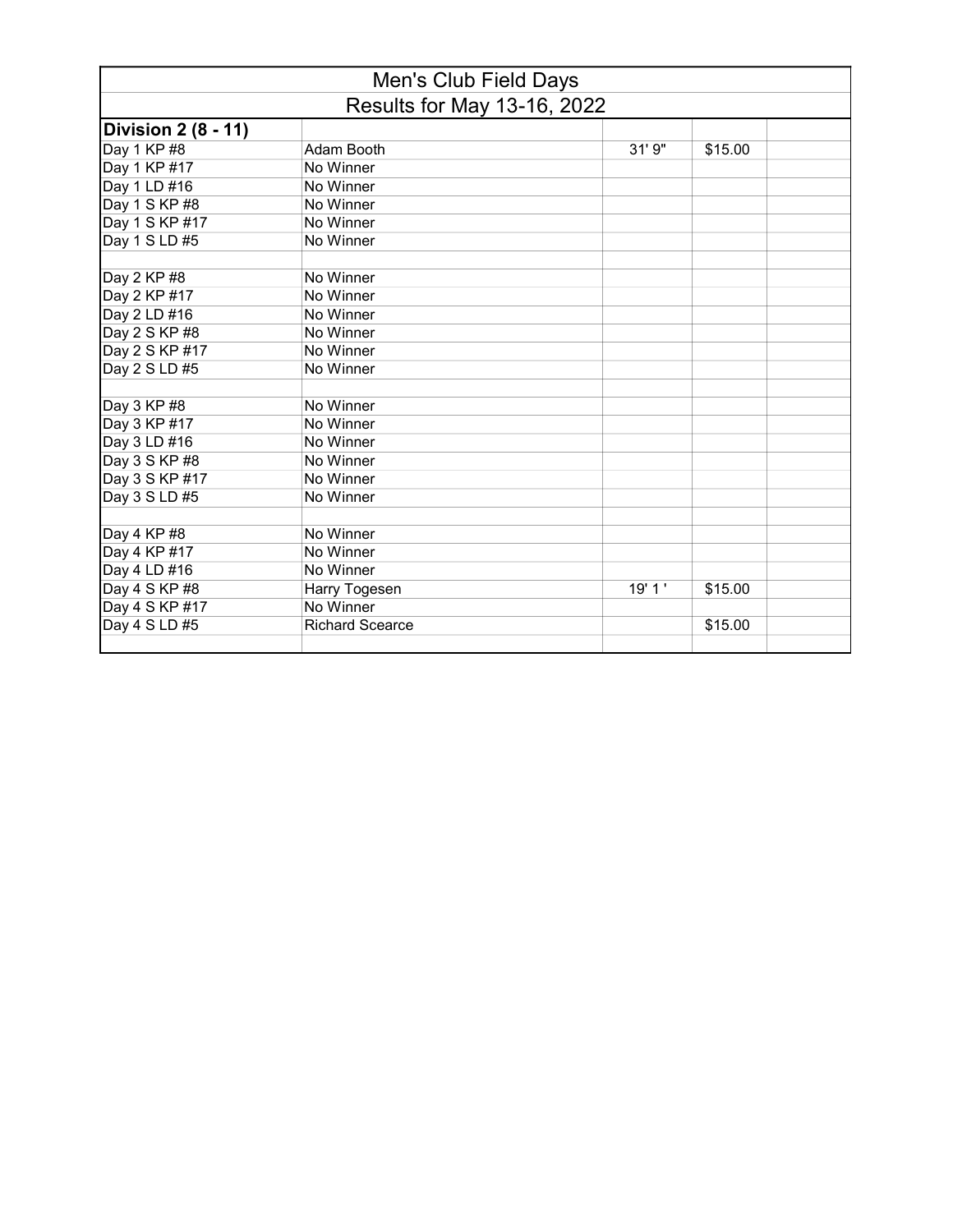|                             | Men's Club Field Days  |        |         |  |
|-----------------------------|------------------------|--------|---------|--|
| Results for May 13-16, 2022 |                        |        |         |  |
| <b>Division 2 (8 - 11)</b>  |                        |        |         |  |
| Day 1 KP #8                 | Adam Booth             | 31'9'' | \$15.00 |  |
| Day 1 KP #17                | No Winner              |        |         |  |
| Day 1 LD #16                | No Winner              |        |         |  |
| Day 1 S KP #8               | No Winner              |        |         |  |
| Day 1 S KP #17              | No Winner              |        |         |  |
| Day 1 S LD #5               | No Winner              |        |         |  |
|                             |                        |        |         |  |
| Day 2 KP #8                 | No Winner              |        |         |  |
| Day 2 KP #17                | No Winner              |        |         |  |
| Day 2 LD #16                | No Winner              |        |         |  |
| Day 2 S KP #8               | No Winner              |        |         |  |
| Day 2 S KP #17              | No Winner              |        |         |  |
| Day 2 S LD #5               | No Winner              |        |         |  |
|                             |                        |        |         |  |
| Day 3 KP #8                 | No Winner              |        |         |  |
| Day 3 KP #17                | No Winner              |        |         |  |
| Day 3 LD #16                | No Winner              |        |         |  |
| Day 3 S KP #8               | No Winner              |        |         |  |
| Day 3 S KP #17              | No Winner              |        |         |  |
| Day 3 S LD #5               | No Winner              |        |         |  |
|                             |                        |        |         |  |
| Day 4 KP #8                 | No Winner              |        |         |  |
| Day 4 KP #17                | No Winner              |        |         |  |
| Day 4 LD #16                | No Winner              |        |         |  |
| Day 4 S KP #8               | Harry Togesen          | 19'1'  | \$15.00 |  |
| Day 4 S KP #17              | No Winner              |        |         |  |
| Day 4 S LD #5               | <b>Richard Scearce</b> |        | \$15.00 |  |
|                             |                        |        |         |  |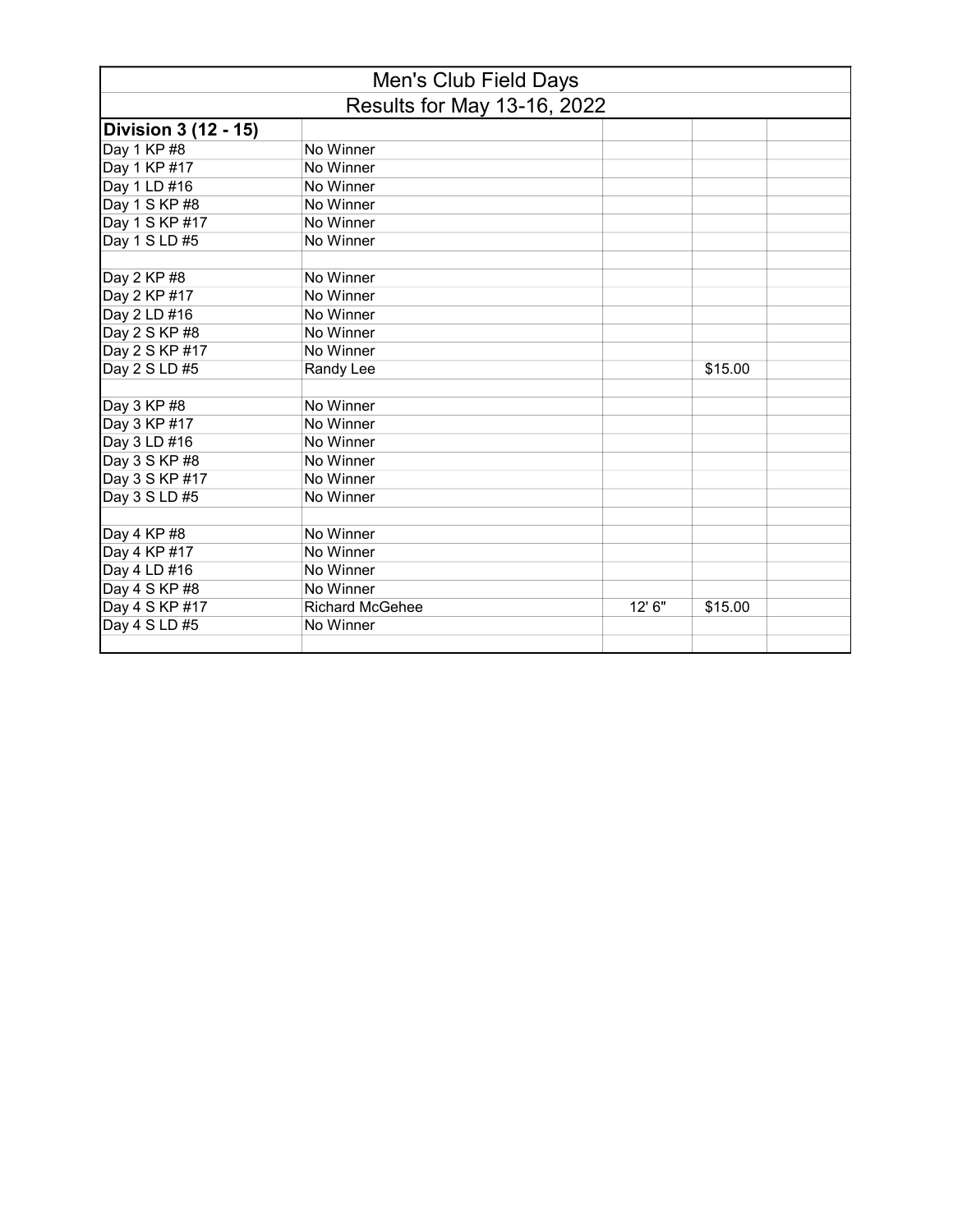| Men's Club Field Days              |                        |        |         |  |
|------------------------------------|------------------------|--------|---------|--|
| <b>Results for May 13-16, 2022</b> |                        |        |         |  |
| <b>Division 3 (12 - 15)</b>        |                        |        |         |  |
| Day 1 KP #8                        | No Winner              |        |         |  |
| Day 1 KP #17                       | No Winner              |        |         |  |
| Day 1 LD #16                       | No Winner              |        |         |  |
| Day 1 S KP #8                      | No Winner              |        |         |  |
| Day 1 S KP #17                     | No Winner              |        |         |  |
| Day 1 S LD #5                      | No Winner              |        |         |  |
| Day 2 KP #8                        | No Winner              |        |         |  |
| Day 2 KP #17                       | No Winner              |        |         |  |
| Day 2 LD #16                       | No Winner              |        |         |  |
| Day 2 S KP #8                      | No Winner              |        |         |  |
| Day 2 S KP #17                     | No Winner              |        |         |  |
| Day 2 S LD #5                      | Randy Lee              |        | \$15.00 |  |
| Day 3 KP #8                        | No Winner              |        |         |  |
| Day 3 KP #17                       | No Winner              |        |         |  |
| Day 3 LD #16                       | No Winner              |        |         |  |
| Day 3 S KP #8                      | No Winner              |        |         |  |
| Day 3 S KP #17                     | No Winner              |        |         |  |
| Day 3 S LD #5                      | No Winner              |        |         |  |
|                                    |                        |        |         |  |
| Day 4 KP #8                        | No Winner              |        |         |  |
| Day 4 KP #17                       | No Winner              |        |         |  |
| Day 4 LD #16                       | No Winner              |        |         |  |
| Day 4 S KP #8                      | No Winner              |        |         |  |
| Day 4 S KP #17                     | <b>Richard McGehee</b> | 12' 6" | \$15.00 |  |
| Day 4 S LD #5                      | No Winner              |        |         |  |
|                                    |                        |        |         |  |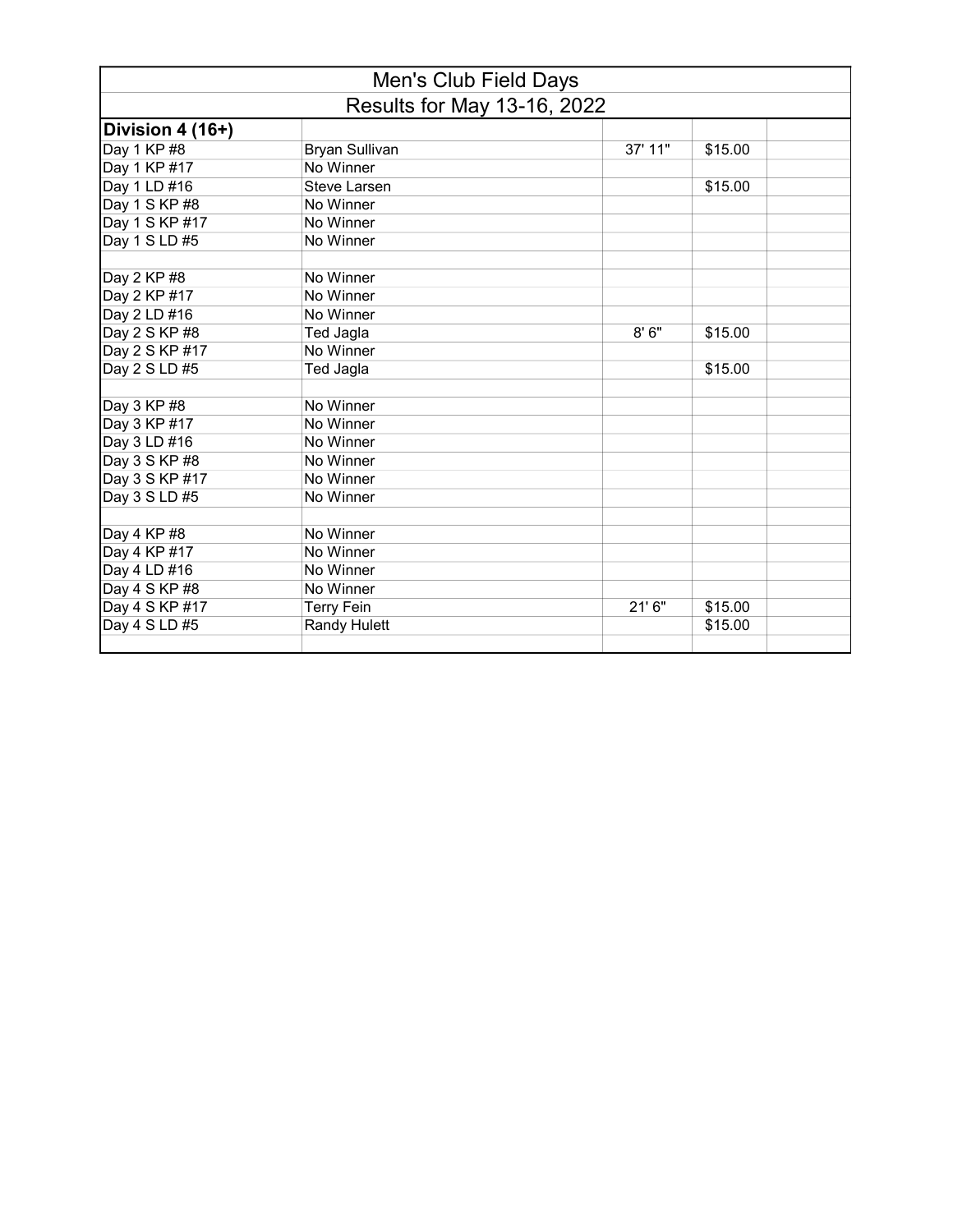|                                    | Men's Club Field Days |         |         |  |
|------------------------------------|-----------------------|---------|---------|--|
| <b>Results for May 13-16, 2022</b> |                       |         |         |  |
| Division 4 (16+)                   |                       |         |         |  |
| Day 1 KP #8                        | <b>Bryan Sullivan</b> | 37' 11" | \$15.00 |  |
| Day 1 KP #17                       | No Winner             |         |         |  |
| Day 1 LD #16                       | Steve Larsen          |         | \$15.00 |  |
| Day 1 S KP #8                      | No Winner             |         |         |  |
| Day 1 S KP #17                     | No Winner             |         |         |  |
| Day 1 S LD #5                      | No Winner             |         |         |  |
| Day 2 KP #8                        | No Winner             |         |         |  |
| Day 2 KP #17                       | No Winner             |         |         |  |
| Day 2 LD #16                       | No Winner             |         |         |  |
| Day 2 S KP #8                      | Ted Jagla             | 8'6''   | \$15.00 |  |
| Day 2 S KP #17                     | No Winner             |         |         |  |
| Day 2 S LD #5                      | Ted Jagla             |         | \$15.00 |  |
| Day 3 KP #8                        | No Winner             |         |         |  |
| Day 3 KP #17                       | No Winner             |         |         |  |
| Day 3 LD #16                       | No Winner             |         |         |  |
| Day 3 S KP #8                      | No Winner             |         |         |  |
| Day 3 S KP #17                     | No Winner             |         |         |  |
| Day 3 S LD #5                      | No Winner             |         |         |  |
| Day 4 KP #8                        | No Winner             |         |         |  |
| Day 4 KP #17                       | No Winner             |         |         |  |
| Day 4 LD #16                       | No Winner             |         |         |  |
| Day 4 S KP #8                      | No Winner             |         |         |  |
| Day 4 S KP #17                     | <b>Terry Fein</b>     | 21'6''  | \$15.00 |  |
| Day 4 S LD #5                      | Randy Hulett          |         | \$15.00 |  |
|                                    |                       |         |         |  |